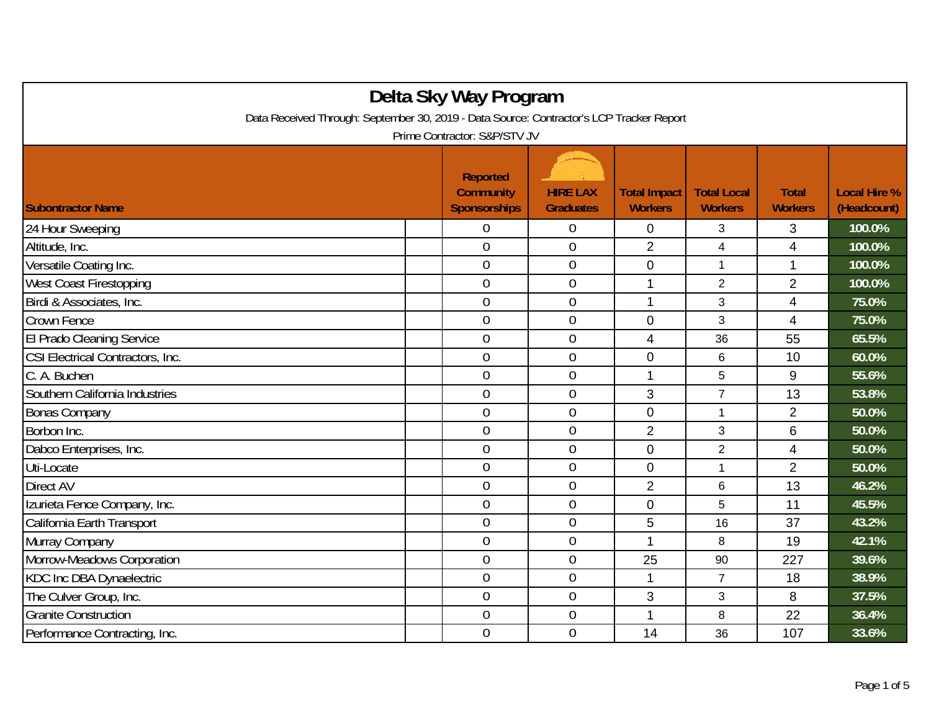| Delta Sky Way Program                                                                    |  |                                                            |                                     |                                       |                                      |                                |                                    |  |
|------------------------------------------------------------------------------------------|--|------------------------------------------------------------|-------------------------------------|---------------------------------------|--------------------------------------|--------------------------------|------------------------------------|--|
| Data Received Through: September 30, 2019 - Data Source: Contractor's LCP Tracker Report |  |                                                            |                                     |                                       |                                      |                                |                                    |  |
| Prime Contractor: S&P/STV JV                                                             |  |                                                            |                                     |                                       |                                      |                                |                                    |  |
| <b>Subontractor Name</b>                                                                 |  | <b>Reported</b><br><b>Community</b><br><b>Sponsorships</b> | <b>HIRE LAX</b><br><b>Graduates</b> | <b>Total Impact</b><br><b>Workers</b> | <b>Total Local</b><br><b>Workers</b> | <b>Total</b><br><b>Workers</b> | <b>Local Hire %</b><br>(Headcount) |  |
| 24 Hour Sweeping                                                                         |  | 0                                                          | $\overline{0}$                      | 0                                     | 3                                    | 3                              | 100.0%                             |  |
| Altitude, Inc.                                                                           |  | $\overline{0}$                                             | $\boldsymbol{0}$                    | $\overline{2}$                        | $\overline{\mathbf{4}}$              | 4                              | 100.0%                             |  |
| Versatile Coating Inc.                                                                   |  | $\overline{0}$                                             | $\mathbf 0$                         | 0                                     | $\mathbf{1}$                         | $\mathbf{1}$                   | 100.0%                             |  |
| <b>West Coast Firestopping</b>                                                           |  | $\overline{0}$                                             | $\mathbf 0$                         | 1                                     | $\overline{2}$                       | $\overline{2}$                 | 100.0%                             |  |
| Birdi & Associates, Inc.                                                                 |  | $\mathbf 0$                                                | $\mathbf 0$                         | 1                                     | 3                                    | $\overline{4}$                 | 75.0%                              |  |
| Crown Fence                                                                              |  | $\overline{0}$                                             | $\mathbf 0$                         | 0                                     | 3                                    | 4                              | 75.0%                              |  |
| El Prado Cleaning Service                                                                |  | $\overline{0}$                                             | $\boldsymbol{0}$                    | 4                                     | 36                                   | 55                             | 65.5%                              |  |
| CSI Electrical Contractors, Inc.                                                         |  | $\overline{0}$                                             | $\overline{0}$                      | 0                                     | 6                                    | 10                             | 60.0%                              |  |
| C. A. Buchen                                                                             |  | $\overline{0}$                                             | $\mathbf 0$                         | 1                                     | 5                                    | 9                              | 55.6%                              |  |
| Southern California Industries                                                           |  | $\mathbf 0$                                                | $\boldsymbol{0}$                    | 3                                     | $\overline{7}$                       | 13                             | 53.8%                              |  |
| <b>Bonas Company</b>                                                                     |  | $\mathbf 0$                                                | $\boldsymbol{0}$                    | $\overline{0}$                        | 1                                    | $\overline{2}$                 | 50.0%                              |  |
| Borbon Inc.                                                                              |  | $\overline{0}$                                             | $\boldsymbol{0}$                    | $\overline{2}$                        | 3                                    | 6                              | 50.0%                              |  |
| Dabco Enterprises, Inc.                                                                  |  | $\overline{0}$                                             | $\boldsymbol{0}$                    | 0                                     | $\overline{2}$                       | 4                              | 50.0%                              |  |
| Uti-Locate                                                                               |  | $\overline{0}$                                             | $\mathbf 0$                         | $\mathbf{0}$                          | 1                                    | $\overline{2}$                 | 50.0%                              |  |
| Direct AV                                                                                |  | $\overline{0}$                                             | $\boldsymbol{0}$                    | $\overline{2}$                        | 6                                    | 13                             | 46.2%                              |  |
| Izurieta Fence Company, Inc.                                                             |  | $\overline{0}$                                             | $\mathbf 0$                         | $\mathbf{0}$                          | 5                                    | 11                             | 45.5%                              |  |
| California Earth Transport                                                               |  | $\overline{0}$                                             | $\mathbf 0$                         | 5                                     | 16                                   | 37                             | 43.2%                              |  |
| Murray Company                                                                           |  | $\mathbf 0$                                                | $\boldsymbol{0}$                    |                                       | 8                                    | 19                             | 42.1%                              |  |
| Morrow-Meadows Corporation                                                               |  | $\overline{0}$                                             | $\mathbf 0$                         | 25                                    | 90                                   | 227                            | 39.6%                              |  |
| KDC Inc DBA Dynaelectric                                                                 |  | $\mathbf 0$                                                | $\boldsymbol{0}$                    | 1                                     | $\overline{7}$                       | 18                             | 38.9%                              |  |
| The Culver Group, Inc.                                                                   |  | $\overline{0}$                                             | $\mathbf 0$                         | 3                                     | 3                                    | 8                              | 37.5%                              |  |
| <b>Granite Construction</b>                                                              |  | $\boldsymbol{0}$                                           | $\mathbf 0$                         | 1                                     | 8                                    | 22                             | 36.4%                              |  |
| Performance Contracting, Inc.                                                            |  | $\mathbf 0$                                                | $\mathbf 0$                         | 14                                    | 36                                   | 107                            | 33.6%                              |  |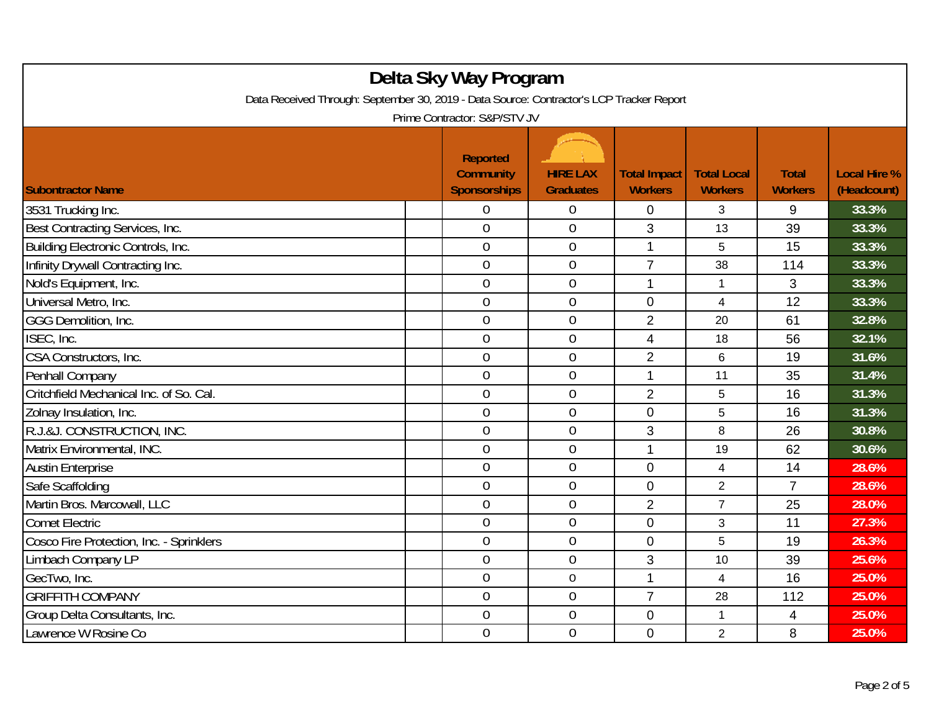| Delta Sky Way Program<br>Data Received Through: September 30, 2019 - Data Source: Contractor's LCP Tracker Report<br>Prime Contractor: S&P/STV JV |  |                                                            |                                     |                                       |                                      |                                |                                    |  |
|---------------------------------------------------------------------------------------------------------------------------------------------------|--|------------------------------------------------------------|-------------------------------------|---------------------------------------|--------------------------------------|--------------------------------|------------------------------------|--|
| <b>Subontractor Name</b>                                                                                                                          |  | <b>Reported</b><br><b>Community</b><br><b>Sponsorships</b> | <b>HIRE LAX</b><br><b>Graduates</b> | <b>Total Impact</b><br><b>Workers</b> | <b>Total Local</b><br><b>Workers</b> | <b>Total</b><br><b>Workers</b> | <b>Local Hire %</b><br>(Headcount) |  |
| 3531 Trucking Inc.                                                                                                                                |  | 0                                                          | $\boldsymbol{0}$                    | $\mathbf{0}$                          | 3                                    | 9                              | 33.3%                              |  |
| Best Contracting Services, Inc.                                                                                                                   |  | $\overline{0}$                                             | $\overline{0}$                      | 3                                     | 13                                   | 39                             | 33.3%                              |  |
| Building Electronic Controls, Inc.                                                                                                                |  | $\mathbf 0$                                                | $\boldsymbol{0}$                    | $\mathbf{1}$                          | 5                                    | 15                             | 33.3%                              |  |
| Infinity Drywall Contracting Inc.                                                                                                                 |  | $\mathbf 0$                                                | $\mathbf 0$                         | $\overline{7}$                        | 38                                   | 114                            | 33.3%                              |  |
| Nold's Equipment, Inc.                                                                                                                            |  | $\overline{0}$                                             | $\overline{0}$                      | 1                                     | 1                                    | 3                              | 33.3%                              |  |
| Universal Metro, Inc.                                                                                                                             |  | $\mathbf 0$                                                | $\mathbf 0$                         | $\overline{0}$                        | $\overline{4}$                       | 12                             | 33.3%                              |  |
| GGG Demolition, Inc.                                                                                                                              |  | $\overline{0}$                                             | $\overline{0}$                      | $\overline{2}$                        | 20                                   | 61                             | 32.8%                              |  |
| ISEC, Inc.                                                                                                                                        |  | $\overline{0}$                                             | $\mathbf 0$                         | $\overline{4}$                        | 18                                   | 56                             | 32.1%                              |  |
| CSA Constructors, Inc.                                                                                                                            |  | $\mathbf 0$                                                | $\boldsymbol{0}$                    | $\overline{2}$                        | 6                                    | 19                             | 31.6%                              |  |
| Penhall Company                                                                                                                                   |  | $\overline{0}$                                             | $\mathbf 0$                         | 1                                     | 11                                   | 35                             | 31.4%                              |  |
| Critchfield Mechanical Inc. of So. Cal.                                                                                                           |  | $\overline{0}$                                             | $\overline{0}$                      | $\overline{2}$                        | 5                                    | 16                             | 31.3%                              |  |
| Zolnay Insulation, Inc.                                                                                                                           |  | $\overline{0}$                                             | $\overline{0}$                      | $\overline{0}$                        | 5                                    | 16                             | 31.3%                              |  |
| R.J.&J. CONSTRUCTION, INC.                                                                                                                        |  | $\mathbf 0$                                                | $\boldsymbol{0}$                    | 3                                     | 8                                    | 26                             | 30.8%                              |  |
| Matrix Environmental, INC.                                                                                                                        |  | $\overline{0}$                                             | $\mathbf 0$                         | 1                                     | 19                                   | 62                             | 30.6%                              |  |
| <b>Austin Enterprise</b>                                                                                                                          |  | $\overline{0}$                                             | $\boldsymbol{0}$                    | $\mathbf 0$                           | 4                                    | 14                             | 28.6%                              |  |
| Safe Scaffolding                                                                                                                                  |  | $\overline{0}$                                             | $\mathbf 0$                         | $\overline{0}$                        | $\overline{2}$                       | $\overline{7}$                 | 28.6%                              |  |
| Martin Bros. Marcowall, LLC                                                                                                                       |  | $\overline{0}$                                             | $\overline{0}$                      | $\overline{2}$                        | $\overline{7}$                       | 25                             | 28.0%                              |  |
| <b>Comet Electric</b>                                                                                                                             |  | $\overline{0}$                                             | $\mathbf 0$                         | $\mathbf 0$                           | 3                                    | 11                             | 27.3%                              |  |
| Cosco Fire Protection, Inc. - Sprinklers                                                                                                          |  | $\overline{0}$                                             | $\mathbf 0$                         | $\overline{0}$                        | 5                                    | 19                             | 26.3%                              |  |
| Limbach Company LP                                                                                                                                |  | $\mathbf 0$                                                | $\boldsymbol{0}$                    | 3                                     | 10                                   | 39                             | 25.6%                              |  |
| GecTwo, Inc.                                                                                                                                      |  | $\overline{0}$                                             | $\boldsymbol{0}$                    | $\mathbf{1}$                          | $\overline{4}$                       | 16                             | 25.0%                              |  |
| <b>GRIFFITH COMPANY</b>                                                                                                                           |  | $\overline{0}$                                             | $\overline{0}$                      | $\overline{7}$                        | 28                                   | 112                            | 25.0%                              |  |
| Group Delta Consultants, Inc.                                                                                                                     |  | $\boldsymbol{0}$                                           | $\boldsymbol{0}$                    | 0                                     | 1                                    | 4                              | 25.0%                              |  |
| Lawrence W Rosine Co                                                                                                                              |  | $\overline{0}$                                             | $\mathbf 0$                         | $\mathbf{0}$                          | $\overline{2}$                       | 8                              | 25.0%                              |  |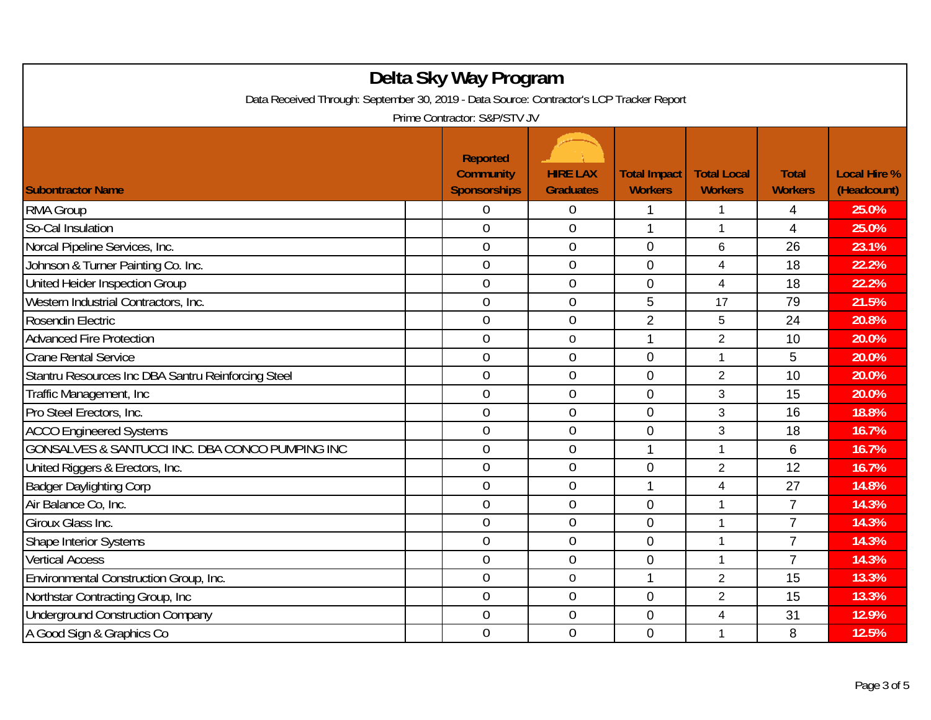| Delta Sky Way Program<br>Data Received Through: September 30, 2019 - Data Source: Contractor's LCP Tracker Report<br>Prime Contractor: S&P/STV JV |                                                            |                                     |                                       |                                      |                                |                                    |  |  |
|---------------------------------------------------------------------------------------------------------------------------------------------------|------------------------------------------------------------|-------------------------------------|---------------------------------------|--------------------------------------|--------------------------------|------------------------------------|--|--|
| <b>Subontractor Name</b>                                                                                                                          | <b>Reported</b><br><b>Community</b><br><b>Sponsorships</b> | <b>HIRE LAX</b><br><b>Graduates</b> | <b>Total Impact</b><br><b>Workers</b> | <b>Total Local</b><br><b>Workers</b> | <b>Total</b><br><b>Workers</b> | <b>Local Hire %</b><br>(Headcount) |  |  |
| <b>RMA Group</b>                                                                                                                                  | 0                                                          | $\boldsymbol{0}$                    | 1                                     | 1                                    | 4                              | 25.0%                              |  |  |
| So-Cal Insulation                                                                                                                                 | $\overline{0}$                                             | $\overline{0}$                      | $\mathbf{1}$                          | $\mathbf{1}$                         | 4                              | 25.0%                              |  |  |
| Norcal Pipeline Services, Inc.                                                                                                                    | $\overline{0}$                                             | $\boldsymbol{0}$                    | 0                                     | 6                                    | 26                             | 23.1%                              |  |  |
| Johnson & Turner Painting Co. Inc.                                                                                                                | $\mathbf 0$                                                | $\mathbf 0$                         | $\mathbf 0$                           | 4                                    | 18                             | 22.2%                              |  |  |
| United Heider Inspection Group                                                                                                                    | $\overline{0}$                                             | $\overline{0}$                      | 0                                     | 4                                    | 18                             | 22.2%                              |  |  |
| Western Industrial Contractors, Inc.                                                                                                              | $\overline{0}$                                             | $\mathbf 0$                         | 5                                     | 17                                   | 79                             | 21.5%                              |  |  |
| Rosendin Electric                                                                                                                                 | $\overline{0}$                                             | $\overline{0}$                      | $\overline{2}$                        | 5                                    | 24                             | 20.8%                              |  |  |
| <b>Advanced Fire Protection</b>                                                                                                                   | $\overline{0}$                                             | $\mathbf 0$                         | 1                                     | $\overline{2}$                       | 10                             | 20.0%                              |  |  |
| <b>Crane Rental Service</b>                                                                                                                       | $\overline{0}$                                             | $\boldsymbol{0}$                    | 0                                     | 1                                    | 5                              | 20.0%                              |  |  |
| Stantru Resources Inc DBA Santru Reinforcing Steel                                                                                                | $\mathbf 0$                                                | $\mathbf 0$                         | 0                                     | $\overline{2}$                       | 10                             | 20.0%                              |  |  |
| Traffic Management, Inc.                                                                                                                          | $\overline{0}$                                             | $\overline{0}$                      | $\overline{0}$                        | 3                                    | 15                             | 20.0%                              |  |  |
| Pro Steel Erectors, Inc.                                                                                                                          | $\overline{0}$                                             | $\overline{0}$                      | $\mathbf 0$                           | 3                                    | 16                             | 18.8%                              |  |  |
| <b>ACCO</b> Engineered Systems                                                                                                                    | $\overline{0}$                                             | $\theta$                            | 0                                     | 3                                    | 18                             | 16.7%                              |  |  |
| GONSALVES & SANTUCCI INC. DBA CONCO PUMPING INC                                                                                                   | $\overline{0}$                                             | $\mathbf 0$                         | 1                                     | 1                                    | 6                              | 16.7%                              |  |  |
| United Riggers & Erectors, Inc.                                                                                                                   | $\overline{0}$                                             | $\mathbf 0$                         | $\mathbf 0$                           | $\overline{2}$                       | 12                             | 16.7%                              |  |  |
| <b>Badger Daylighting Corp</b>                                                                                                                    | $\overline{0}$                                             | $\mathbf{0}$                        | 1                                     | $\overline{\mathbf{4}}$              | 27                             | 14.8%                              |  |  |
| Air Balance Co. Inc.                                                                                                                              | $\overline{0}$                                             | $\overline{0}$                      | $\overline{0}$                        | 1                                    | $\overline{7}$                 | 14.3%                              |  |  |
| Giroux Glass Inc.                                                                                                                                 | 0                                                          | $\boldsymbol{0}$                    | $\mathbf 0$                           | 1                                    | $\overline{7}$                 | 14.3%                              |  |  |
| <b>Shape Interior Systems</b>                                                                                                                     | $\overline{0}$                                             | $\mathbf 0$                         | 0                                     | 1                                    | $\overline{7}$                 | 14.3%                              |  |  |
| <b>Vertical Access</b>                                                                                                                            | $\overline{0}$                                             | $\mathbf 0$                         | 0                                     | 1                                    | $\overline{7}$                 | 14.3%                              |  |  |
| Environmental Construction Group, Inc.                                                                                                            | $\overline{0}$                                             | $\mathbf 0$                         | 1                                     | $\overline{2}$                       | 15                             | 13.3%                              |  |  |
| Northstar Contracting Group, Inc.                                                                                                                 | $\overline{0}$                                             | $\overline{0}$                      | $\overline{0}$                        | $\overline{2}$                       | 15                             | 13.3%                              |  |  |
| <b>Underground Construction Company</b>                                                                                                           | $\boldsymbol{0}$                                           | $\mathbf 0$                         | 0                                     | $\overline{\mathbf{4}}$              | 31                             | 12.9%                              |  |  |
| A Good Sign & Graphics Co                                                                                                                         | $\overline{0}$                                             | $\mathbf 0$                         | $\overline{0}$                        | 1                                    | 8                              | 12.5%                              |  |  |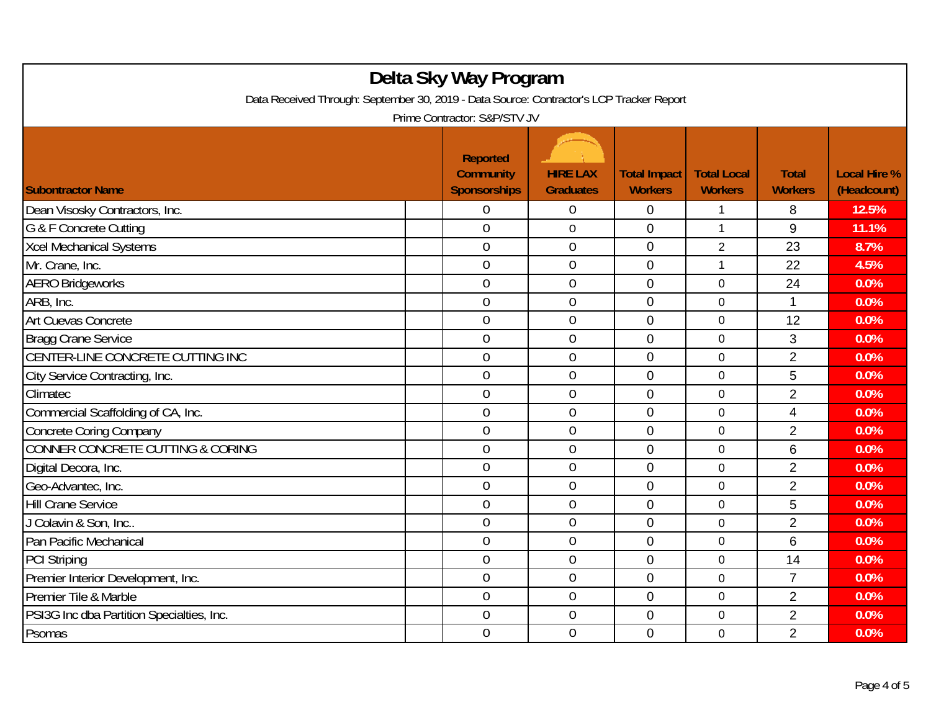| Delta Sky Way Program<br>Data Received Through: September 30, 2019 - Data Source: Contractor's LCP Tracker Report<br>Prime Contractor: S&P/STV JV |                                                            |                                     |                                       |                                      |                                |                                    |  |  |
|---------------------------------------------------------------------------------------------------------------------------------------------------|------------------------------------------------------------|-------------------------------------|---------------------------------------|--------------------------------------|--------------------------------|------------------------------------|--|--|
| <b>Subontractor Name</b>                                                                                                                          | <b>Reported</b><br><b>Community</b><br><b>Sponsorships</b> | <b>HIRE LAX</b><br><b>Graduates</b> | <b>Total Impact</b><br><b>Workers</b> | <b>Total Local</b><br><b>Workers</b> | <b>Total</b><br><b>Workers</b> | <b>Local Hire %</b><br>(Headcount) |  |  |
| Dean Visosky Contractors, Inc.                                                                                                                    | 0                                                          | $\boldsymbol{0}$                    | 0                                     | 1                                    | 8                              | 12.5%                              |  |  |
| G & F Concrete Cutting                                                                                                                            | $\overline{0}$                                             | $\mathbf 0$                         | 0                                     | 1                                    | 9                              | 11.1%                              |  |  |
| <b>Xcel Mechanical Systems</b>                                                                                                                    | $\overline{0}$                                             | $\boldsymbol{0}$                    | $\mathbf 0$                           | $\overline{2}$                       | 23                             | 8.7%                               |  |  |
| Mr. Crane, Inc.                                                                                                                                   | $\overline{0}$                                             | $\boldsymbol{0}$                    | $\mathbf 0$                           | 1                                    | 22                             | 4.5%                               |  |  |
| <b>AERO Bridgeworks</b>                                                                                                                           | $\overline{0}$                                             | $\mathbf 0$                         | $\overline{0}$                        | 0                                    | 24                             | 0.0%                               |  |  |
| ARB, Inc.                                                                                                                                         | $\overline{0}$                                             | $\mathbf 0$                         | 0                                     | 0                                    | 1                              | 0.0%                               |  |  |
| Art Cuevas Concrete                                                                                                                               | $\overline{0}$                                             | $\overline{0}$                      | $\overline{0}$                        | 0                                    | 12                             | 0.0%                               |  |  |
| Bragg Crane Service                                                                                                                               | $\overline{0}$                                             | $\mathbf 0$                         | $\mathbf 0$                           | $\mathbf 0$                          | 3                              | 0.0%                               |  |  |
| CENTER-LINE CONCRETE CUTTING INC                                                                                                                  | $\overline{0}$                                             | $\boldsymbol{0}$                    | 0                                     | 0                                    | $\overline{2}$                 | 0.0%                               |  |  |
| City Service Contracting, Inc.                                                                                                                    | $\mathbf 0$                                                | $\mathbf 0$                         | $\mathbf 0$                           | 0                                    | 5                              | 0.0%                               |  |  |
| Climatec                                                                                                                                          | $\overline{0}$                                             | $\overline{0}$                      | 0                                     | 0                                    | $\overline{2}$                 | 0.0%                               |  |  |
| Commercial Scaffolding of CA, Inc.                                                                                                                | $\overline{0}$                                             | $\boldsymbol{0}$                    | 0                                     | 0                                    | $\overline{\mathcal{A}}$       | 0.0%                               |  |  |
| <b>Concrete Coring Company</b>                                                                                                                    | $\overline{0}$                                             | $\theta$                            | 0                                     | 0                                    | $\overline{2}$                 | 0.0%                               |  |  |
| <b>CONNER CONCRETE CUTTING &amp; CORING</b>                                                                                                       | $\overline{0}$                                             | $\mathbf 0$                         | $\overline{0}$                        | $\mathbf 0$                          | 6                              | 0.0%                               |  |  |
| Digital Decora, Inc.                                                                                                                              | $\overline{0}$                                             | $\boldsymbol{0}$                    | $\overline{0}$                        | 0                                    | $\overline{2}$                 | 0.0%                               |  |  |
| Geo-Advantec, Inc.                                                                                                                                | $\mathbf 0$                                                | $\mathbf 0$                         | 0                                     | 0                                    | $\overline{2}$                 | 0.0%                               |  |  |
| <b>Hill Crane Service</b>                                                                                                                         | $\overline{0}$                                             | $\mathbf 0$                         | 0                                     | 0                                    | 5                              | 0.0%                               |  |  |
| J Colavin & Son, Inc                                                                                                                              | $\overline{0}$                                             | $\mathbf 0$                         | 0                                     | 0                                    | $\overline{2}$                 | 0.0%                               |  |  |
| Pan Pacific Mechanical                                                                                                                            | $\overline{0}$                                             | $\overline{0}$                      | 0                                     | 0                                    | 6                              | 0.0%                               |  |  |
| <b>PCI Striping</b>                                                                                                                               | $\overline{0}$                                             | $\mathbf 0$                         | 0                                     | 0                                    | 14                             | 0.0%                               |  |  |
| Premier Interior Development, Inc.                                                                                                                | 0                                                          | $\boldsymbol{0}$                    | 0                                     | 0                                    | 7                              | 0.0%                               |  |  |
| Premier Tile & Marble                                                                                                                             | $\mathbf 0$                                                | $\mathbf 0$                         | $\overline{0}$                        | 0                                    | $\overline{2}$                 | 0.0%                               |  |  |
| PSI3G Inc dba Partition Specialties, Inc.                                                                                                         | $\overline{0}$                                             | $\overline{0}$                      | 0                                     | 0                                    | $\overline{2}$                 | 0.0%                               |  |  |
| Psomas                                                                                                                                            | $\overline{0}$                                             | $\mathbf{0}$                        | 0                                     | 0                                    | $\overline{2}$                 | 0.0%                               |  |  |